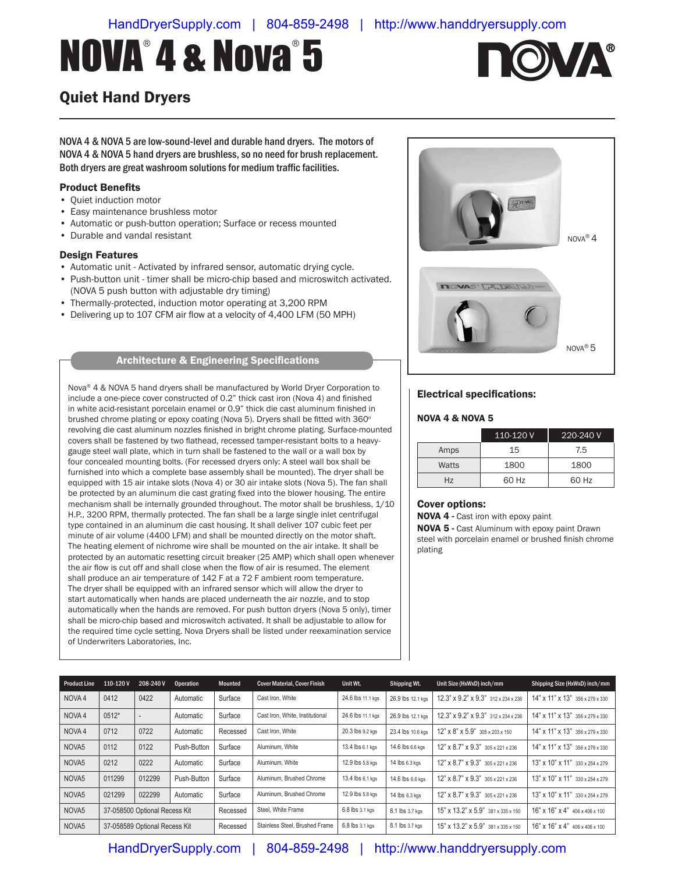# NOVA®4&Nova®5



## Quiet Hand Dryers

NOVA 4 & NOVA 5 are low-sound-level and durable hand dryers. The motors of NOVA 4 & NOVA 5 hand dryers are brushless, so no need for brush replacement. Both dryers are great washroom solutions for medium traffic facilities.

#### Product Benefits

- Quiet induction motor
- Easy maintenance brushless motor
- Automatic or push-button operation; Surface or recess mounted
- Durable and vandal resistant

#### Design Features

- Automatic unit Activated by infrared sensor, automatic drying cycle.
- Push-button unit timer shall be micro-chip based and microswitch activated. (NOVA 5 push button with adjustable dry timing)
- Thermally-protected, induction motor operating at 3,200 RPM
- Delivering up to 107 CFM air flow at a velocity of 4,400 LFM (50 MPH)

## Architecture & Engineering Specifications

Nova® 4 & NOVA 5 hand dryers shall be manufactured by World Dryer Corporation to include a one-piece cover constructed of 0.2" thick cast iron (Nova 4) and finished in white acid-resistant porcelain enamel or 0.9" thick die cast aluminum finished in brushed chrome plating or epoxy coating (Nova 5). Dryers shall be fitted with 360° revolving die cast aluminum nozzles finished in bright chrome plating. Surface-mounted covers shall be fastened by two flathead, recessed tamper-resistant bolts to a heavygauge steel wall plate, which in turn shall be fastened to the wall or a wall box by four concealed mounting bolts. (For recessed dryers only: A steel wall box shall be furnished into which a complete base assembly shall be mounted). The dryer shall be equipped with 15 air intake slots (Nova 4) or 30 air intake slots (Nova 5). The fan shall be protected by an aluminum die cast grating fixed into the blower housing. The entire mechanism shall be internally grounded throughout. The motor shall be brushless, 1/10 H.P., 3200 RPM, thermally protected. The fan shall be a large single inlet centrifugal type contained in an aluminum die cast housing. It shall deliver 107 cubic feet per minute of air volume (4400 LFM) and shall be mounted directly on the motor shaft. The heating element of nichrome wire shall be mounted on the air intake. It shall be protected by an automatic resetting circuit breaker (25 AMP) which shall open whenever the air flow is cut off and shall close when the flow of air is resumed. The element shall produce an air temperature of 142 F at a 72 F ambient room temperature. The dryer shall be equipped with an infrared sensor which will allow the dryer to start automatically when hands are placed underneath the air nozzle, and to stop automatically when the hands are removed. For push button dryers (Nova 5 only), timer shall be micro-chip based and microswitch activated. It shall be adjustable to allow for the required time cycle setting. Nova Dryers shall be listed under reexamination service of Underwriters Laboratories, Inc.



#### Electrical specifications:

#### NOVA 4 & NOVA 5

|       | 110-120 V | 220-240 V |
|-------|-----------|-----------|
| Amps  | 15        | 7.5       |
| Watts | 1800      | 1800      |
| Hz    | 60 Hz     | 60 Hz     |

#### Cover options:

NOVA 4 - Cast iron with epoxy paint NOVA 5 - Cast Aluminum with epoxy paint Drawn steel with porcelain enamel or brushed finish chrome plating

| <b>Product Line</b> | 110-120V                      | 208-240V | Operation   | Mounted                        | <b>Cover Material, Cover Finish</b> | Unit Wt.          | Shipping Wt.                       | Unit Size (HxWxD) inch/mm                  | Shipping Size (HxWxD) inch/mm   |
|---------------------|-------------------------------|----------|-------------|--------------------------------|-------------------------------------|-------------------|------------------------------------|--------------------------------------------|---------------------------------|
| NOVA4               | 0412                          | 0422     | Automatic   | Surface                        | Cast Iron, White                    | 24.6 lbs 11.1 kgs | 26.9 lbs 12.1 kgs                  | 12.3" x 9.2" x 9.3" 312 x 234 x 236        | 14" x 11" x 13" 356 x 279 x 330 |
| NOVA4               | $0512*$                       |          | Automatic   | Surface                        | Cast Iron, White, Institutional     | 24.6 lbs 11.1 kgs | 26.9 lbs 12.1 kgs                  | 12.3" x 9.2" x 9.3" 312 x 234 x 236        | 14" x 11" x 13" 356 x 279 x 330 |
| NOVA 4              | 0712                          | 0722     | Automatic   | Recessed                       | Cast Iron, White                    | 20.3 lbs 9.2 kgs  | 23.4 lbs 10.6 kgs                  | 12" x 8" x 5.9" 305 x 203 x 150            | 14" x 11" x 13" 356 x 279 x 330 |
| NOVA <sub>5</sub>   | 0112                          | 0122     | Push-Button | Surface                        | Aluminum, White                     | 13.4 lbs 6.1 kgs  | 14.6 lbs 6.6 kgs                   | 12" x 8.7" x 9.3" 305 x 221 x 236          | 14" x 11" x 13" 356 x 279 x 330 |
| NOVA <sub>5</sub>   | 0212                          | 0222     | Automatic   | Surface                        | Aluminum, White                     | 12.9 lbs 5.8 kgs  | 14 lbs 6.3 kgs                     | 12" x 8.7" x 9.3" 305 x 221 x 236          | 13" x 10" x 11" 330 x 254 x 279 |
| NOVA <sub>5</sub>   | 011299                        | 012299   | Push-Button | Surface                        | Aluminum, Brushed Chrome            | 13.4 lbs 6.1 kgs  | 14.6 lbs 6.6 kgs                   | 12" x 8.7" x 9.3" 305 x 221 x 236          | 13" x 10" x 11" 330 x 254 x 279 |
| NOVA <sub>5</sub>   | 021299                        | 022299   | Automatic   | Surface                        | Aluminum, Brushed Chrome            | 12.9 lbs 5.8 kgs  | 14 lbs 6.3 kgs                     | 12" x 8.7" x 9.3" 305 x 221 x 236          | 13" x 10" x 11" 330 x 254 x 279 |
| NOVA <sub>5</sub>   | 37-058500 Optional Recess Kit |          |             | Recessed                       | Steel, White Frame                  | 6.8 lbs 3.1 kgs   | 8.1 lbs 3.7 kgs                    | 15" x 13.2" x 5.9" 381 x 335 x 150         | 16" x 16" x 4" 406 x 406 x 100  |
| NOVA <sub>5</sub>   | 37-058589 Optional Recess Kit |          | Recessed    | Stainless Steel, Brushed Frame | 6.8 lbs 3.1 kgs                     | 8.1 lbs 3.7 kgs   | 15" x 13.2" x 5.9" 381 x 335 x 150 | $16"$ x $16"$ x $4"$ $406$ x $406$ x $100$ |                                 |

HandDryerSupply.com | 804-859-2498 | http://www.handdryersupply.com